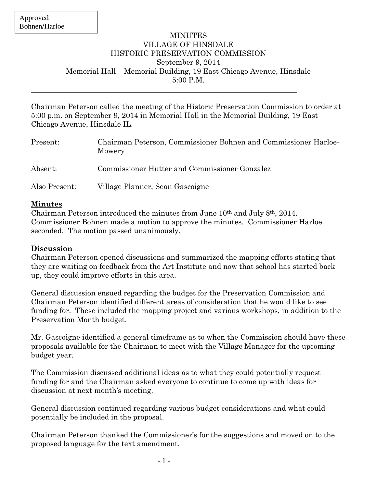## **MINUTES** VILLAGE OF HINSDALE HISTORIC PRESERVATION COMMISSION September 9, 2014 Memorial Hall – Memorial Building, 19 East Chicago Avenue, Hinsdale 5:00 P.M.

Chairman Peterson called the meeting of the Historic Preservation Commission to order at 5:00 p.m. on September 9, 2014 in Memorial Hall in the Memorial Building, 19 East Chicago Avenue, Hinsdale IL.

| Present:      | Chairman Peterson, Commissioner Bohnen and Commissioner Harloe-<br>Mowery |
|---------------|---------------------------------------------------------------------------|
| Absent:       | Commissioner Hutter and Commissioner Gonzalez                             |
| Also Present: | Village Planner, Sean Gascoigne                                           |

## **Minutes**

Chairman Peterson introduced the minutes from June 10th and July 8th, 2014. Commissioner Bohnen made a motion to approve the minutes. Commissioner Harloe seconded. The motion passed unanimously.

## **Discussion**

Chairman Peterson opened discussions and summarized the mapping efforts stating that they are waiting on feedback from the Art Institute and now that school has started back up, they could improve efforts in this area.

General discussion ensued regarding the budget for the Preservation Commission and Chairman Peterson identified different areas of consideration that he would like to see funding for. These included the mapping project and various workshops, in addition to the Preservation Month budget.

Mr. Gascoigne identified a general timeframe as to when the Commission should have these proposals available for the Chairman to meet with the Village Manager for the upcoming budget year.

The Commission discussed additional ideas as to what they could potentially request funding for and the Chairman asked everyone to continue to come up with ideas for discussion at next month's meeting.

General discussion continued regarding various budget considerations and what could potentially be included in the proposal.

Chairman Peterson thanked the Commissioner's for the suggestions and moved on to the proposed language for the text amendment.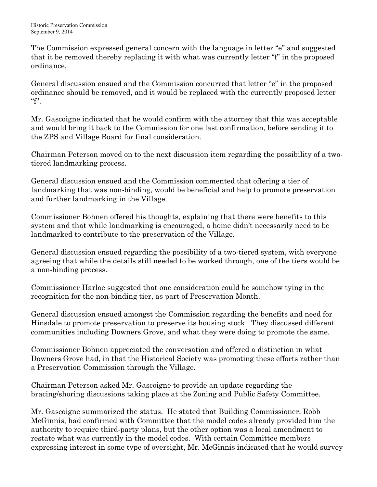The Commission expressed general concern with the language in letter "e" and suggested that it be removed thereby replacing it with what was currently letter "f" in the proposed ordinance.

General discussion ensued and the Commission concurred that letter "e" in the proposed ordinance should be removed, and it would be replaced with the currently proposed letter  $``f".$ 

Mr. Gascoigne indicated that he would confirm with the attorney that this was acceptable and would bring it back to the Commission for one last confirmation, before sending it to the ZPS and Village Board for final consideration.

Chairman Peterson moved on to the next discussion item regarding the possibility of a twotiered landmarking process.

General discussion ensued and the Commission commented that offering a tier of landmarking that was non-binding, would be beneficial and help to promote preservation and further landmarking in the Village.

Commissioner Bohnen offered his thoughts, explaining that there were benefits to this system and that while landmarking is encouraged, a home didn't necessarily need to be landmarked to contribute to the preservation of the Village.

General discussion ensued regarding the possibility of a two-tiered system, with everyone agreeing that while the details still needed to be worked through, one of the tiers would be a non-binding process.

Commissioner Harloe suggested that one consideration could be somehow tying in the recognition for the non-binding tier, as part of Preservation Month.

General discussion ensued amongst the Commission regarding the benefits and need for Hinsdale to promote preservation to preserve its housing stock. They discussed different communities including Downers Grove, and what they were doing to promote the same.

Commissioner Bohnen appreciated the conversation and offered a distinction in what Downers Grove had, in that the Historical Society was promoting these efforts rather than a Preservation Commission through the Village.

Chairman Peterson asked Mr. Gascoigne to provide an update regarding the bracing/shoring discussions taking place at the Zoning and Public Safety Committee.

Mr. Gascoigne summarized the status. He stated that Building Commissioner, Robb McGinnis, had confirmed with Committee that the model codes already provided him the authority to require third-party plans, but the other option was a local amendment to restate what was currently in the model codes. With certain Committee members expressing interest in some type of oversight, Mr. McGinnis indicated that he would survey